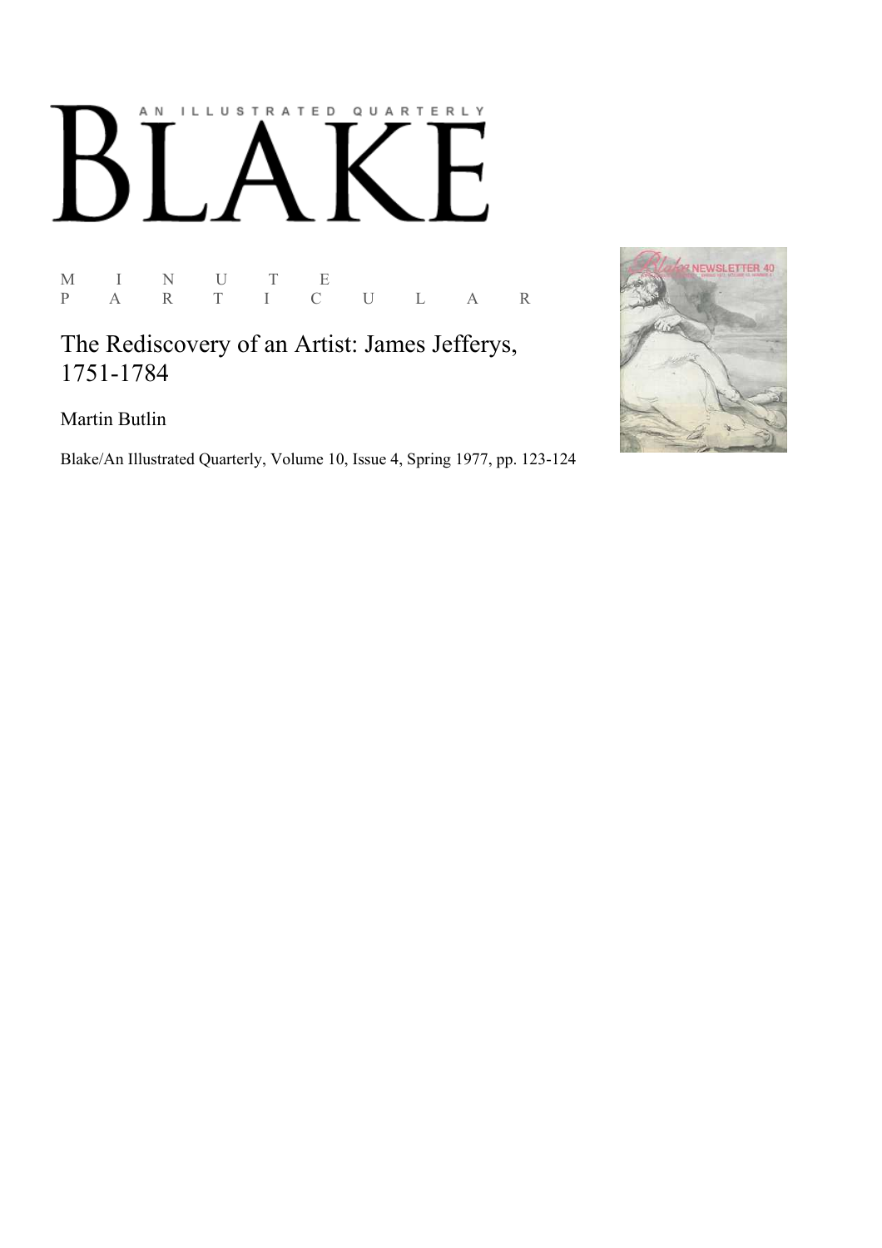## AN ILLUSTRATED QUARTERLY  $\int$  $B$  $\overline{\phantom{a}}$

M I N U T<br>P A R T I  $\begin{array}{ccc} E & & \\ C & U & L & A & R \end{array}$ 

The Rediscovery of an Artist: James Jefferys, 1751-1784

Martin Butlin

Blake/An Illustrated Quarterly, Volume 10, Issue 4, Spring 1977, pp. 123-124

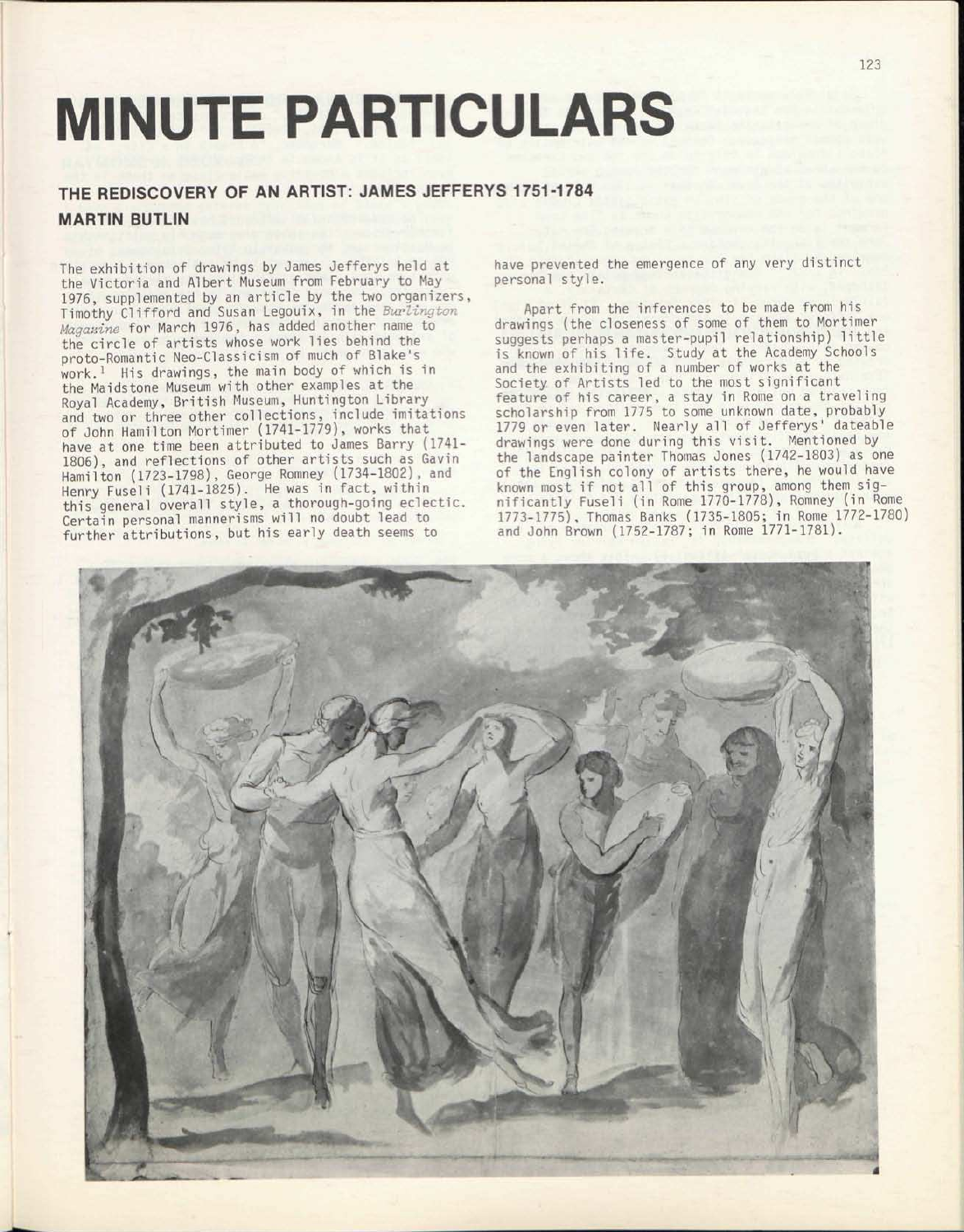## MINUTE PARTICULARS

## THE REDISCOVERY OF AN ARTIST: JAMES JEFFERYS 1751-1784 MARTIN BUTLIN

The exhibition of drawings by James Jefferys held at the Victoria and Albert Museum from February to May 1976, supplemented by an article by the two organizers, Timothy Clifford and Susan Legouix, in the *Burlington Magazine* for March 1976, has added another name to the circle of artists whose work lies behind the proto-Romantic Neo-Classicism of much of Blake's work.<sup>1</sup> His drawings, the main body of which is in the Maidstone Museum with other examples at the Royal Academy, British Museum, Huntington Library and two or three other collections, include imitations of John Hamilton Mortimer (1741-1779), works that have at one time been attributed to James Barry (1741- 1806), and reflections of other artists such as Gavin Hamilton (1723-1798), George Romney (1734-1802), and Henry Fuseli (1741-1825). He was in fact, within this general overall style, a thorough-going eclectic. Certain personal mannerisms will no doubt lead to further attributions, but his early death seems to

have prevented the emergence of any very distinct personal style.

Apart from the inferences to be made from his drawings (the closeness of some of them to Mortimer suggests perhaps a master-pupil relationship) little is known of his life. Study at the Academy Schools and the exhibiting of a number of works at the Society of Artists led to the most significant feature of his career, a stay in Rome on a traveling scholarship from 1775 to some unknown date, probably 1779 or even later. Nearly all of Jefferys' dateable drawings were done during this visit. Mentioned by the landscape painter Thomas Jones (1742-1803) as one of the English colony of artists there, he would have known most if not all of this group, among them significantly Fuseli (in Rome 1770-1778), Romney (in Rome 1773-1775), Thomas Banks (1735-1805; in Rome 1772-1780) and John Brown (1752-1787; in Rome 1771-1781).